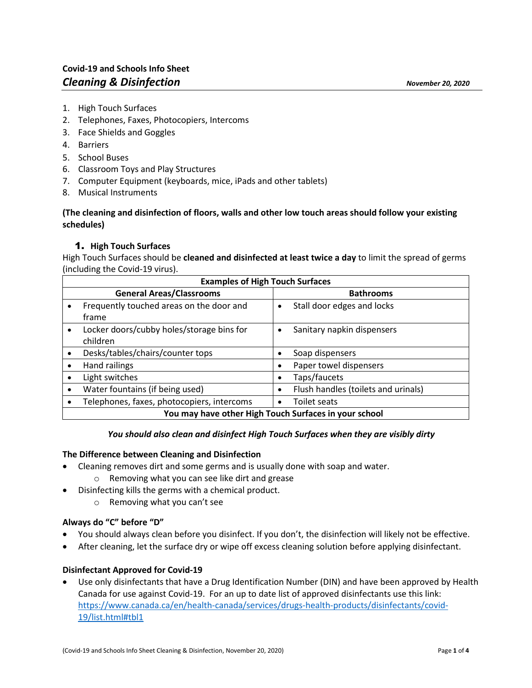- 1. High Touch Surfaces
- 2. Telephones, Faxes, Photocopiers, Intercoms
- 3. Face Shields and Goggles
- 4. Barriers
- 5. School Buses
- 6. Classroom Toys and Play Structures
- 7. Computer Equipment (keyboards, mice, iPads and other tablets)
- 8. Musical Instruments

## **(The cleaning and disinfection of floors, walls and other low touch areas should follow your existing schedules)**

## 1. **High Touch Surfaces**

High Touch Surfaces should be **cleaned and disinfected at least twice a day** to limit the spread of germs (including the Covid-19 virus).

| <b>Examples of High Touch Surfaces</b>                |                                            |                                         |
|-------------------------------------------------------|--------------------------------------------|-----------------------------------------|
|                                                       | <b>General Areas/Classrooms</b>            | <b>Bathrooms</b>                        |
|                                                       | Frequently touched areas on the door and   | Stall door edges and locks<br>$\bullet$ |
|                                                       | frame                                      |                                         |
| $\bullet$                                             | Locker doors/cubby holes/storage bins for  | Sanitary napkin dispensers              |
|                                                       | children                                   |                                         |
|                                                       | Desks/tables/chairs/counter tops           | Soap dispensers                         |
|                                                       | Hand railings                              | Paper towel dispensers                  |
|                                                       | Light switches                             | Taps/faucets                            |
|                                                       | Water fountains (if being used)            | Flush handles (toilets and urinals)     |
|                                                       | Telephones, faxes, photocopiers, intercoms | Toilet seats                            |
| You may have other High Touch Surfaces in your school |                                            |                                         |

### *You should also clean and disinfect High Touch Surfaces when they are visibly dirty*

### **The Difference between Cleaning and Disinfection**

- Cleaning removes dirt and some germs and is usually done with soap and water.
	- o Removing what you can see like dirt and grease
- Disinfecting kills the germs with a chemical product.
	- o Removing what you can't see

## **Always do "C" before "D"**

- You should always clean before you disinfect. If you don't, the disinfection will likely not be effective.
- After cleaning, let the surface dry or wipe off excess cleaning solution before applying disinfectant.

### **Disinfectant Approved for Covid-19**

• Use only disinfectants that have a Drug Identification Number (DIN) and have been approved by Health Canada for use against Covid-19. For an up to date list of approved disinfectants use this link: [https://www.canada.ca/en/health-canada/services/drugs-health-products/disinfectants/covid-](https://www.canada.ca/en/health-canada/services/drugs-health-products/disinfectants/covid-19/list.html#tbl1)[19/list.html#tbl1](https://www.canada.ca/en/health-canada/services/drugs-health-products/disinfectants/covid-19/list.html#tbl1)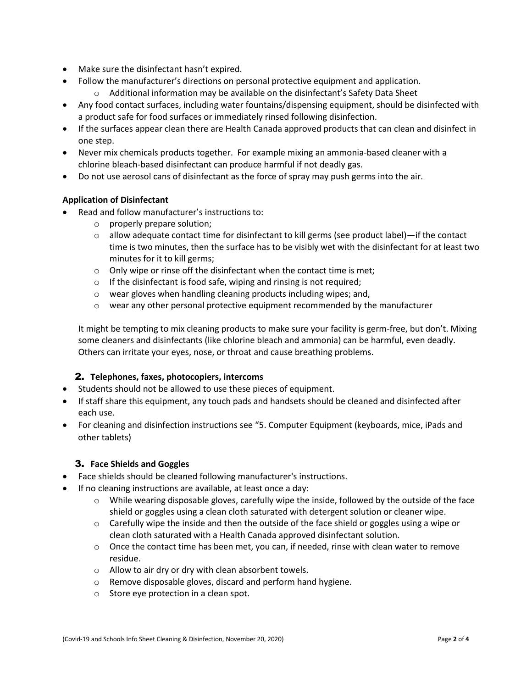- Make sure the disinfectant hasn't expired.
- Follow the manufacturer's directions on personal protective equipment and application.
	- o Additional information may be available on the disinfectant's Safety Data Sheet
- Any food contact surfaces, including water fountains/dispensing equipment, should be disinfected with a product safe for food surfaces or immediately rinsed following disinfection.
- If the surfaces appear clean there are Health Canada approved products that can clean and disinfect in one step.
- Never mix chemicals products together. For example mixing an ammonia-based cleaner with a chlorine bleach-based disinfectant can produce harmful if not deadly gas.
- Do not use aerosol cans of disinfectant as the force of spray may push germs into the air.

#### **Application of Disinfectant**

- Read and follow manufacturer's instructions to:
	- o properly prepare solution;
	- $\circ$  allow adequate contact time for disinfectant to kill germs (see product label)—if the contact time is two minutes, then the surface has to be visibly wet with the disinfectant for at least two minutes for it to kill germs;
	- $\circ$  Only wipe or rinse off the disinfectant when the contact time is met;
	- $\circ$  If the disinfectant is food safe, wiping and rinsing is not required;
	- o wear gloves when handling cleaning products including wipes; and,
	- o wear any other personal protective equipment recommended by the manufacturer

It might be tempting to mix cleaning products to make sure your facility is germ-free, but don't. Mixing some cleaners and disinfectants (like chlorine bleach and ammonia) can be harmful, even deadly. Others can irritate your eyes, nose, or throat and cause breathing problems.

### 2. **Telephones, faxes, photocopiers, intercoms**

- Students should not be allowed to use these pieces of equipment.
- If staff share this equipment, any touch pads and handsets should be cleaned and disinfected after each use.
- For cleaning and disinfection instructions see "5. Computer Equipment (keyboards, mice, iPads and other tablets)

### 3. **Face Shields and Goggles**

- Face shields should be cleaned following manufacturer's instructions.
- If no cleaning instructions are available, at least once a day:
	- $\circ$  While wearing disposable gloves, carefully wipe the inside, followed by the outside of the face shield or goggles using a clean cloth saturated with detergent solution or cleaner wipe.
	- $\circ$  Carefully wipe the inside and then the outside of the face shield or goggles using a wipe or clean cloth saturated with a Health Canada approved disinfectant solution.
	- $\circ$  Once the contact time has been met, you can, if needed, rinse with clean water to remove residue.
	- o Allow to air dry or dry with clean absorbent towels.
	- o Remove disposable gloves, discard and perform hand hygiene.
	- o Store eye protection in a clean spot.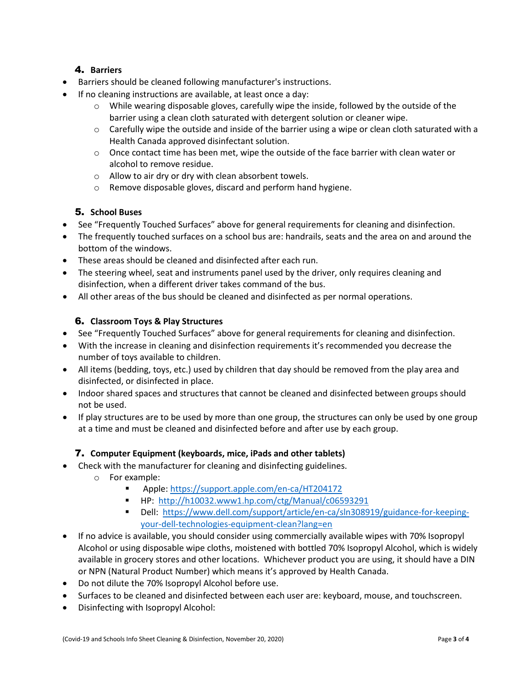# 4. **Barriers**

- Barriers should be cleaned following manufacturer's instructions.
- If no cleaning instructions are available, at least once a day:
	- $\circ$  While wearing disposable gloves, carefully wipe the inside, followed by the outside of the barrier using a clean cloth saturated with detergent solution or cleaner wipe.
	- $\circ$  Carefully wipe the outside and inside of the barrier using a wipe or clean cloth saturated with a Health Canada approved disinfectant solution.
	- $\circ$  Once contact time has been met, wipe the outside of the face barrier with clean water or alcohol to remove residue.
	- o Allow to air dry or dry with clean absorbent towels.
	- o Remove disposable gloves, discard and perform hand hygiene.

## 5. **School Buses**

- See "Frequently Touched Surfaces" above for general requirements for cleaning and disinfection.
- The frequently touched surfaces on a school bus are: handrails, seats and the area on and around the bottom of the windows.
- These areas should be cleaned and disinfected after each run.
- The steering wheel, seat and instruments panel used by the driver, only requires cleaning and disinfection, when a different driver takes command of the bus.
- All other areas of the bus should be cleaned and disinfected as per normal operations.

## 6. **Classroom Toys & Play Structures**

- See "Frequently Touched Surfaces" above for general requirements for cleaning and disinfection.
- With the increase in cleaning and disinfection requirements it's recommended you decrease the number of toys available to children.
- All items (bedding, toys, etc.) used by children that day should be removed from the play area and disinfected, or disinfected in place.
- Indoor shared spaces and structures that cannot be cleaned and disinfected between groups should not be used.
- If play structures are to be used by more than one group, the structures can only be used by one group at a time and must be cleaned and disinfected before and after use by each group.

### 7. **Computer Equipment (keyboards, mice, iPads and other tablets)**

- Check with the manufacturer for cleaning and disinfecting guidelines.
	- o For example:
		- Apple:<https://support.apple.com/en-ca/HT204172>
		- HP:<http://h10032.www1.hp.com/ctg/Manual/c06593291>
		- Dell: [https://www.dell.com/support/article/en-ca/sln308919/guidance-for-keeping](https://www.dell.com/support/article/en-ca/sln308919/guidance-for-keeping-your-dell-technologies-equipment-clean?lang=en)[your-dell-technologies-equipment-clean?lang=en](https://www.dell.com/support/article/en-ca/sln308919/guidance-for-keeping-your-dell-technologies-equipment-clean?lang=en)
- If no advice is available, you should consider using commercially available wipes with 70% Isopropyl Alcohol or using disposable wipe cloths, moistened with bottled 70% Isopropyl Alcohol, which is widely available in grocery stores and other locations. Whichever product you are using, it should have a DIN or NPN (Natural Product Number) which means it's approved by Health Canada.
- Do not dilute the 70% Isopropyl Alcohol before use.
- Surfaces to be cleaned and disinfected between each user are: keyboard, mouse, and touchscreen.
- Disinfecting with Isopropyl Alcohol: